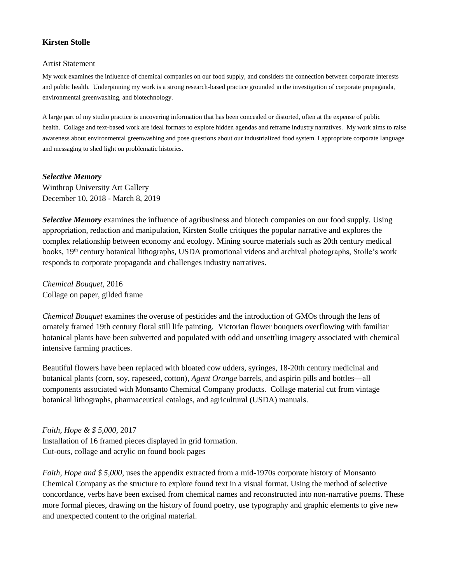## **Kirsten Stolle**

## Artist Statement

My work examines the influence of chemical companies on our food supply, and considers the connection between corporate interests and public health. Underpinning my work is a strong research-based practice grounded in the investigation of corporate propaganda, environmental greenwashing, and biotechnology.

A large part of my studio practice is uncovering information that has been concealed or distorted, often at the expense of public health. Collage and text-based work are ideal formats to explore hidden agendas and reframe industry narratives. My work aims to raise awareness about environmental greenwashing and pose questions about our industrialized food system. I appropriate corporate language and messaging to shed light on problematic histories.

*Selective Memory* Winthrop University Art Gallery December 10, 2018 - March 8, 2019

*Selective Memory* examines the influence of agribusiness and biotech companies on our food supply. Using appropriation, redaction and manipulation, Kirsten Stolle critiques the popular narrative and explores the complex relationship between economy and ecology. Mining source materials such as 20th century medical books, 19th century botanical lithographs, USDA promotional videos and archival photographs, Stolle's work responds to corporate propaganda and challenges industry narratives.

*Chemical Bouquet*, 2016 Collage on paper, gilded frame

*Chemical Bouquet* examines the overuse of pesticides and the introduction of GMOs through the lens of ornately framed 19th century floral still life painting. Victorian flower bouquets overflowing with familiar botanical plants have been subverted and populated with odd and unsettling imagery associated with chemical intensive farming practices.

Beautiful flowers have been replaced with bloated cow udders, syringes, 18-20th century medicinal and botanical plants (corn, soy, rapeseed, cotton)*, Agent Orange* barrels, and aspirin pills and bottles—all components associated with Monsanto Chemical Company products. Collage material cut from vintage botanical lithographs, pharmaceutical catalogs, and agricultural (USDA) manuals.

*Faith, Hope & \$ 5,000*, 2017 Installation of 16 framed pieces displayed in grid formation. Cut-outs, collage and acrylic on found book pages

*Faith, Hope and \$ 5,000*, uses the appendix extracted from a mid-1970s corporate history of Monsanto Chemical Company as the structure to explore found text in a visual format. Using the method of selective concordance, verbs have been excised from chemical names and reconstructed into non-narrative poems. These more formal pieces, drawing on the history of found poetry, use typography and graphic elements to give new and unexpected content to the original material.